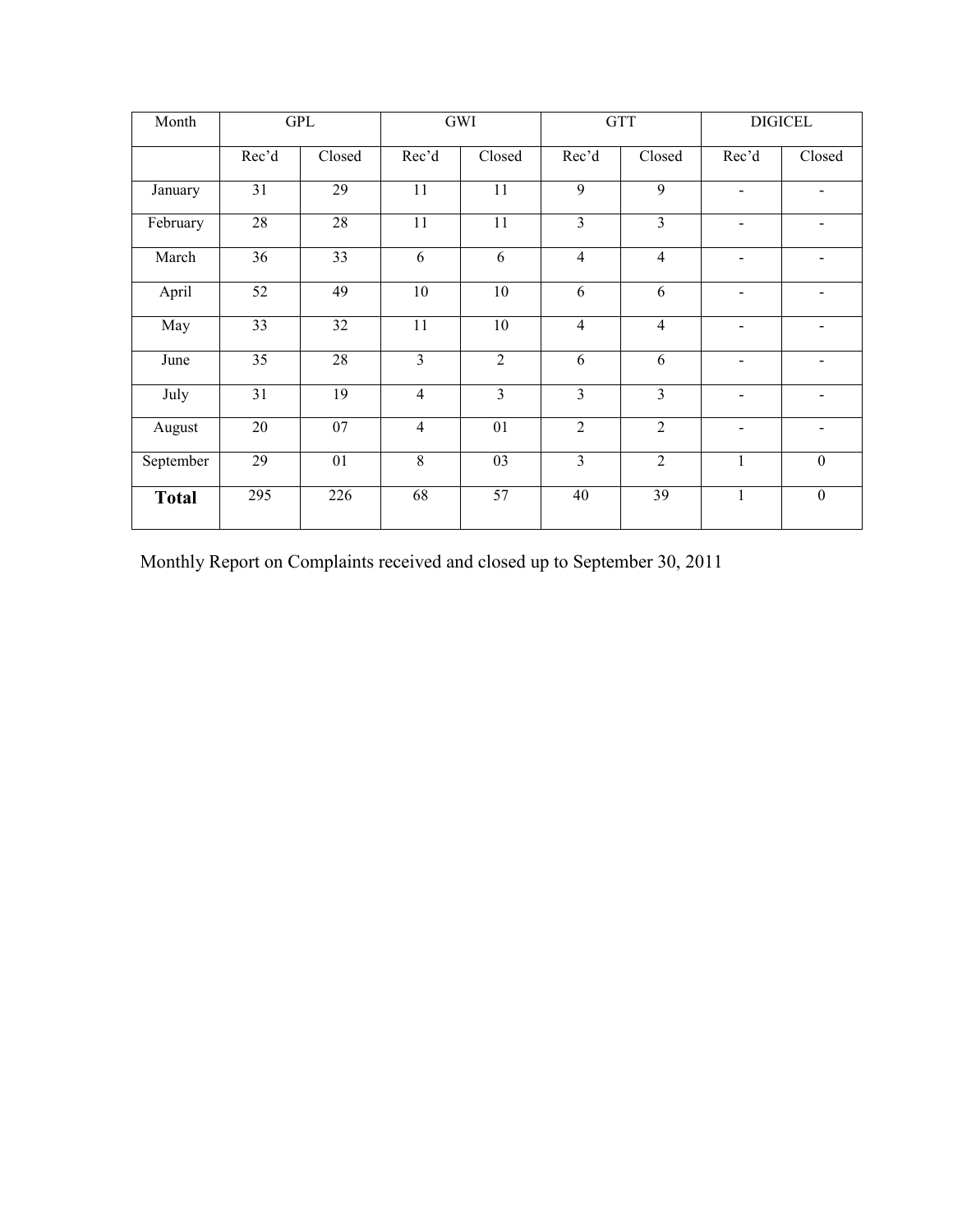| Month        |                 | GPL    |                | GWI             |                | <b>GTT</b>     |                          | <b>DIGICEL</b>           |
|--------------|-----------------|--------|----------------|-----------------|----------------|----------------|--------------------------|--------------------------|
|              | Rec'd           | Closed | Rec'd          | Closed          | Rec'd          | Closed         | Rec'd                    | Closed                   |
| January      | 31              | 29     | 11             | 11              | 9              | 9              | $\blacksquare$           | $\blacksquare$           |
| February     | 28              | 28     | 11             | 11              | 3              | $\overline{3}$ | $\blacksquare$           | $\overline{\phantom{0}}$ |
| March        | 36              | 33     | 6              | $\overline{6}$  | $\overline{4}$ | $\overline{4}$ | $\blacksquare$           | $\blacksquare$           |
| April        | 52              | 49     | $10\,$         | 10              | 6              | 6              | $\blacksquare$           | $\blacksquare$           |
| May          | 33              | 32     | 11             | 10              | $\overline{4}$ | $\overline{4}$ | $\overline{\phantom{a}}$ | $\blacksquare$           |
| June         | $\overline{35}$ | 28     | $\overline{3}$ | $\overline{2}$  | 6              | 6              | $\overline{\phantom{a}}$ |                          |
| July         | 31              | 19     | $\overline{4}$ | $\overline{3}$  | $\overline{3}$ | $\overline{3}$ | $\blacksquare$           |                          |
| August       | 20              | 07     | $\overline{4}$ | 01              | $\overline{2}$ | $\overline{2}$ | $\overline{\phantom{a}}$ |                          |
| September    | 29              | 01     | $8\,$          | 03              | 3              | $\overline{2}$ | $\mathbf{1}$             | $\boldsymbol{0}$         |
| <b>Total</b> | 295             | 226    | 68             | $\overline{57}$ | 40             | 39             | $\mathbf{1}$             | $\boldsymbol{0}$         |

Monthly Report on Complaints received and closed up to September 30, 2011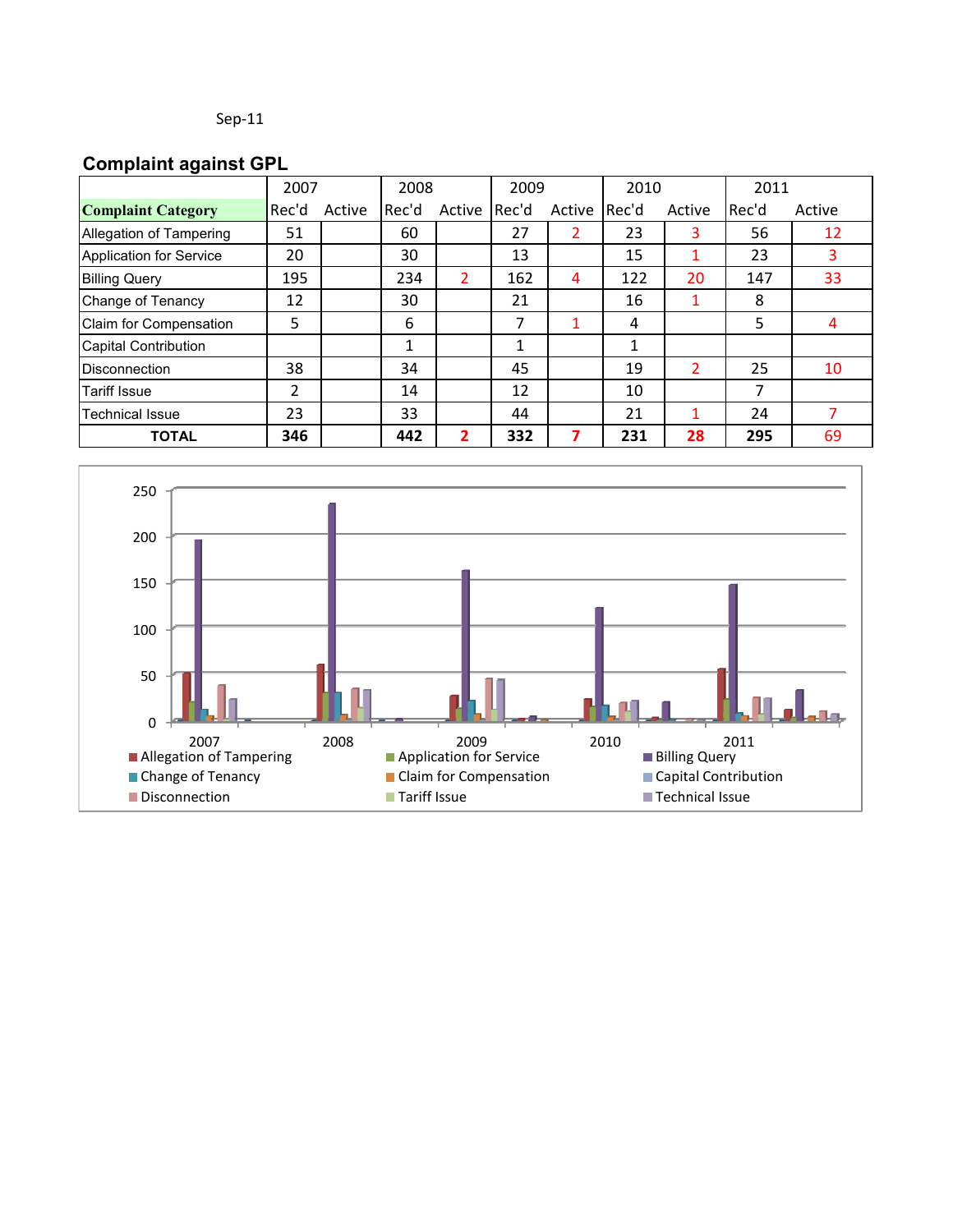### **Complaint against GPL**

|                                | 2007  |        | 2008  |        | 2009  |        | 2010  |                | 2011  |        |
|--------------------------------|-------|--------|-------|--------|-------|--------|-------|----------------|-------|--------|
| <b>Complaint Category</b>      | Rec'd | Active | Rec'd | Active | Rec'd | Active | Rec'd | Active         | Rec'd | Active |
| <b>Allegation of Tampering</b> | 51    |        | 60    |        | 27    |        | 23    | 3              | 56    | 12     |
| Application for Service        | 20    |        | 30    |        | 13    |        | 15    |                | 23    | 3      |
| <b>Billing Query</b>           | 195   |        | 234   | 2      | 162   | 4      | 122   | 20             | 147   | 33     |
| Change of Tenancy              | 12    |        | 30    |        | 21    |        | 16    |                | 8     |        |
| Claim for Compensation         | 5     |        | 6     |        | 7     |        | 4     |                | 5     | 4      |
| <b>Capital Contribution</b>    |       |        | 1     |        | 1     |        | 1     |                |       |        |
| <b>Disconnection</b>           | 38    |        | 34    |        | 45    |        | 19    | $\overline{2}$ | 25    | 10     |
| <b>Tariff Issue</b>            | 2     |        | 14    |        | 12    |        | 10    |                | 7     |        |
| <b>Technical Issue</b>         | 23    |        | 33    |        | 44    |        | 21    |                | 24    |        |
| <b>TOTAL</b>                   | 346   |        | 442   | 2      | 332   |        | 231   | 28             | 295   | 69     |

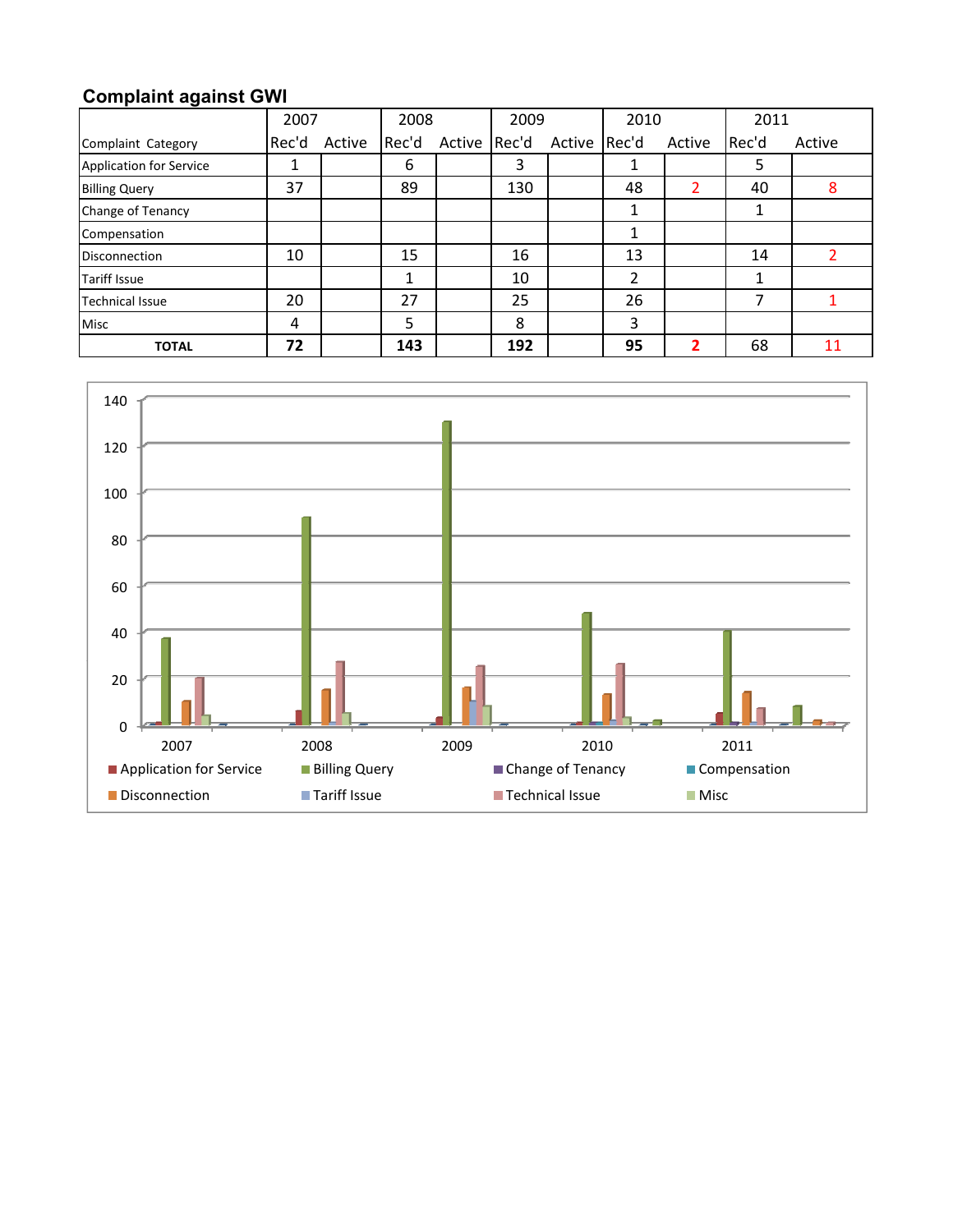# **Complaint against GWI**

|                                | 2007  |        | 2008  |        | 2009  |              | 2010 |        | 2011  |        |
|--------------------------------|-------|--------|-------|--------|-------|--------------|------|--------|-------|--------|
| Complaint Category             | Rec'd | Active | Rec'd | Active | Rec'd | Active Rec'd |      | Active | Rec'd | Active |
| <b>Application for Service</b> | ┻     |        | 6     |        | 3     |              |      |        | 5     |        |
| <b>Billing Query</b>           | 37    |        | 89    |        | 130   |              | 48   | 2      | 40    | 8      |
| Change of Tenancy              |       |        |       |        |       |              |      |        |       |        |
| Compensation                   |       |        |       |        |       |              | 1    |        |       |        |
| <b>Disconnection</b>           | 10    |        | 15    |        | 16    |              | 13   |        | 14    |        |
| <b>Tariff Issue</b>            |       |        |       |        | 10    |              | 2    |        |       |        |
| <b>Technical Issue</b>         | 20    |        | 27    |        | 25    |              | 26   |        |       |        |
| <b>Misc</b>                    | 4     |        | 5     |        | 8     |              | 3    |        |       |        |
| <b>TOTAL</b>                   | 72    |        | 143   |        | 192   |              | 95   | ን      | 68    | 11     |

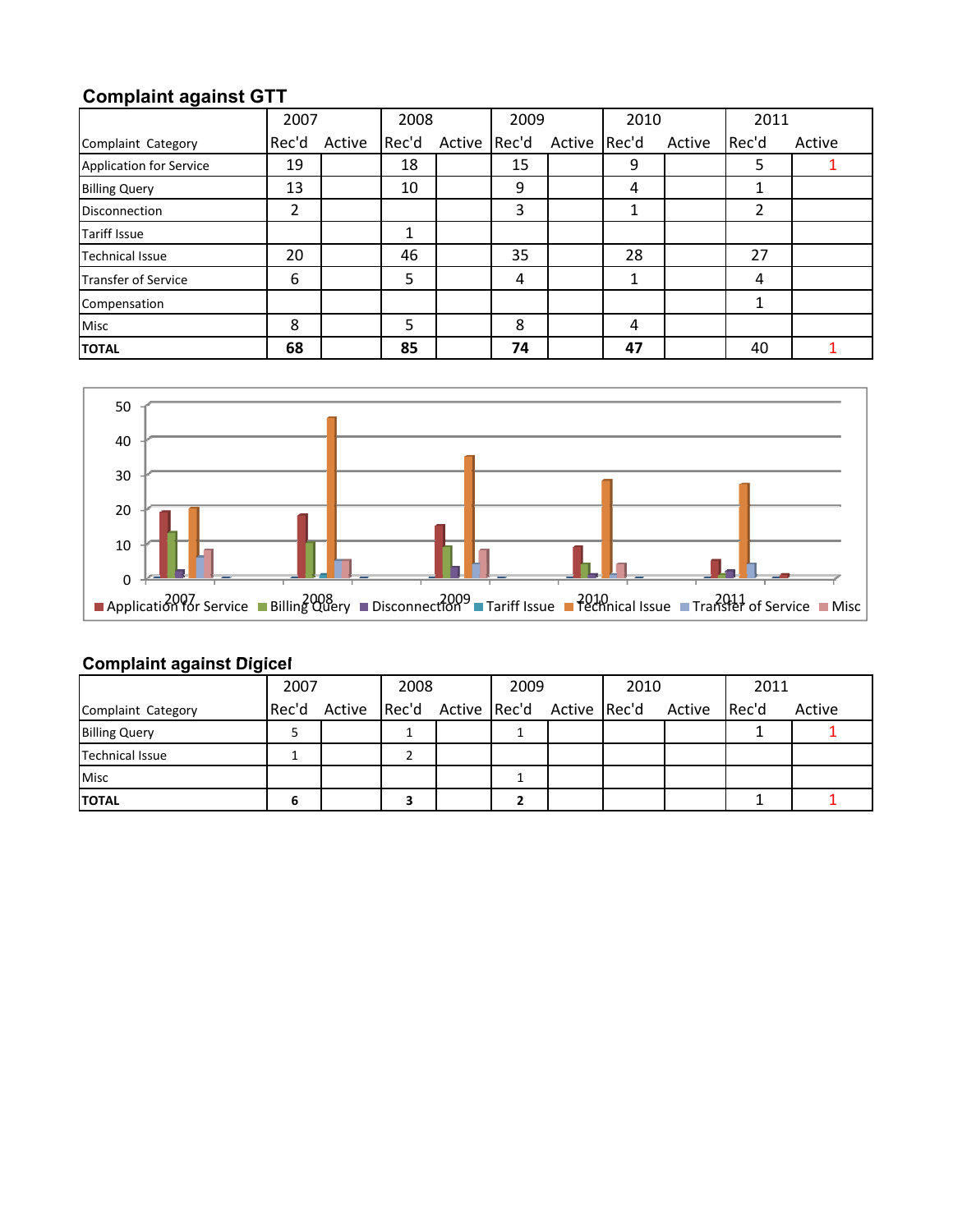# **Complaint against GTT**

|                                | 2007  |        | 2008  |        | 2009  |              | 2010 |        | 2011           |        |
|--------------------------------|-------|--------|-------|--------|-------|--------------|------|--------|----------------|--------|
| Complaint Category             | Rec'd | Active | Rec'd | Active | Rec'd | Active Rec'd |      | Active | Rec'd          | Active |
| <b>Application for Service</b> | 19    |        | 18    |        | 15    |              | 9    |        | 5              |        |
| <b>Billing Query</b>           | 13    |        | 10    |        | 9     |              | 4    |        | 1              |        |
| <b>Disconnection</b>           | 2     |        |       |        | 3     |              | 1    |        | $\overline{2}$ |        |
| <b>Tariff Issue</b>            |       |        | 1     |        |       |              |      |        |                |        |
| <b>Technical Issue</b>         | 20    |        | 46    |        | 35    |              | 28   |        | 27             |        |
| Transfer of Service            | 6     |        | 5     |        | 4     |              | 1    |        | 4              |        |
| Compensation                   |       |        |       |        |       |              |      |        | 1              |        |
| <b>Misc</b>                    | 8     |        | 5     |        | 8     |              | 4    |        |                |        |
| <b>TOTAL</b>                   | 68    |        | 85    |        | 74    |              | 47   |        | 40             |        |



#### **Complaint against Digicel against Digicel**

|                        | 2007 |  | 2008 |  | 2009 |  | 2010                                                |  | 2011  |        |
|------------------------|------|--|------|--|------|--|-----------------------------------------------------|--|-------|--------|
| Complaint Category     |      |  |      |  |      |  | Rec'd Active Rec'd Active Rec'd Active Rec'd Active |  | Rec'd | Active |
| <b>Billing Query</b>   |      |  |      |  |      |  |                                                     |  |       |        |
| <b>Technical Issue</b> |      |  |      |  |      |  |                                                     |  |       |        |
| <b>Misc</b>            |      |  |      |  |      |  |                                                     |  |       |        |
| <b>TOTAL</b>           |      |  |      |  |      |  |                                                     |  |       |        |